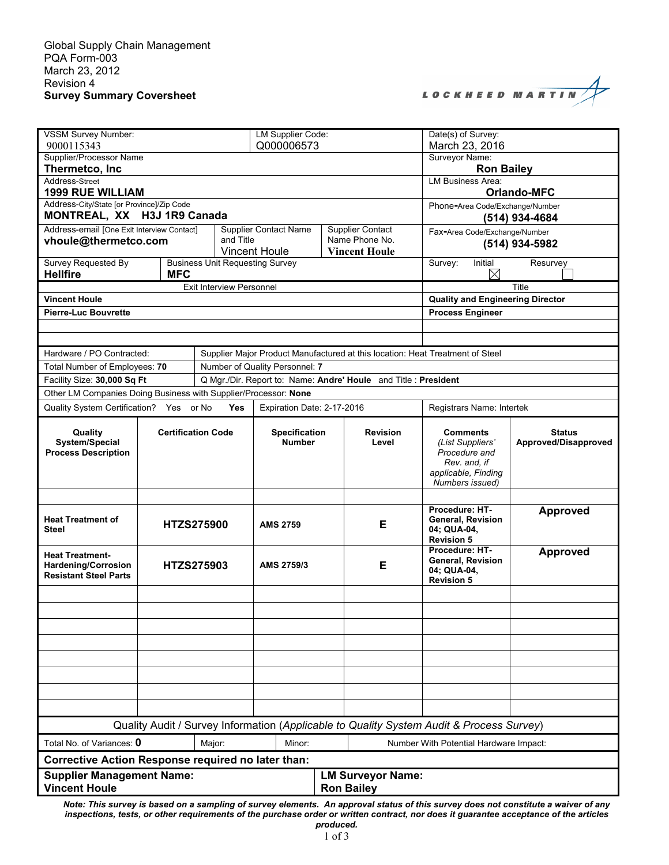|  |  |  |  | LOCKHEED MARTIN |  |  |  |  |
|--|--|--|--|-----------------|--|--|--|--|

| VSSM Survey Number:<br>9000115343                                                                                                  |                           |                                                   | <b>LM Supplier Code:</b><br>Q000006573 |                                                                               |                                        | Date(s) of Survey:<br>March 23, 2016                                                                           |                                       |  |  |
|------------------------------------------------------------------------------------------------------------------------------------|---------------------------|---------------------------------------------------|----------------------------------------|-------------------------------------------------------------------------------|----------------------------------------|----------------------------------------------------------------------------------------------------------------|---------------------------------------|--|--|
| Supplier/Processor Name                                                                                                            |                           |                                                   |                                        |                                                                               |                                        | Surveyor Name:                                                                                                 |                                       |  |  |
| Thermetco, Inc                                                                                                                     |                           | <b>Ron Bailey</b><br><b>LM Business Area:</b>     |                                        |                                                                               |                                        |                                                                                                                |                                       |  |  |
| Address-Street<br><b>1999 RUE WILLIAM</b>                                                                                          |                           | <b>Orlando-MFC</b>                                |                                        |                                                                               |                                        |                                                                                                                |                                       |  |  |
| Address-City/State [or Province]/Zip Code<br>MONTREAL, XX H3J 1R9 Canada                                                           |                           | Phone-Area Code/Exchange/Number<br>(514) 934-4684 |                                        |                                                                               |                                        |                                                                                                                |                                       |  |  |
| Address-email [One Exit Interview Contact]                                                                                         |                           |                                                   | <b>Supplier Contact Name</b>           |                                                                               | Supplier Contact                       | Fax-Area Code/Exchange/Number                                                                                  |                                       |  |  |
| vhoule@thermetco.com                                                                                                               |                           | and Title                                         | <b>Vincent Houle</b>                   |                                                                               | Name Phone No.<br><b>Vincent Houle</b> | (514) 934-5982                                                                                                 |                                       |  |  |
| <b>Survey Requested By</b><br><b>Hellfire</b>                                                                                      | <b>MFC</b>                | <b>Business Unit Requesting Survey</b>            |                                        |                                                                               |                                        | Survey:<br>Initial<br>$\boxtimes$                                                                              | Resurvey                              |  |  |
|                                                                                                                                    |                           | Title                                             |                                        |                                                                               |                                        |                                                                                                                |                                       |  |  |
| <b>Vincent Houle</b>                                                                                                               |                           |                                                   |                                        |                                                                               |                                        | <b>Quality and Engineering Director</b>                                                                        |                                       |  |  |
| <b>Pierre-Luc Bouvrette</b>                                                                                                        |                           |                                                   |                                        |                                                                               |                                        | <b>Process Engineer</b>                                                                                        |                                       |  |  |
|                                                                                                                                    |                           |                                                   |                                        |                                                                               |                                        |                                                                                                                |                                       |  |  |
|                                                                                                                                    |                           |                                                   |                                        |                                                                               |                                        |                                                                                                                |                                       |  |  |
| Hardware / PO Contracted:<br>Total Number of Employees: 70                                                                         |                           |                                                   | Number of Quality Personnel: 7         | Supplier Major Product Manufactured at this location: Heat Treatment of Steel |                                        |                                                                                                                |                                       |  |  |
| Facility Size: 30,000 Sq Ft                                                                                                        |                           |                                                   |                                        |                                                                               |                                        |                                                                                                                |                                       |  |  |
| Q Mgr./Dir. Report to: Name: Andre' Houle and Title : President<br>Other LM Companies Doing Business with Supplier/Processor: None |                           |                                                   |                                        |                                                                               |                                        |                                                                                                                |                                       |  |  |
| Quality System Certification? Yes or No                                                                                            |                           | Yes                                               | Expiration Date: 2-17-2016             |                                                                               |                                        | Registrars Name: Intertek                                                                                      |                                       |  |  |
| Quality<br>System/Special<br><b>Process Description</b>                                                                            | <b>Certification Code</b> |                                                   | <b>Specification</b><br><b>Number</b>  |                                                                               | <b>Revision</b><br>Level               | <b>Comments</b><br>(List Suppliers'<br>Procedure and<br>Rev. and, if<br>applicable, Finding<br>Numbers issued) | <b>Status</b><br>Approved/Disapproved |  |  |
|                                                                                                                                    |                           |                                                   |                                        |                                                                               |                                        |                                                                                                                |                                       |  |  |
| <b>Heat Treatment of</b><br><b>Steel</b>                                                                                           | <b>HTZS275900</b>         |                                                   | <b>AMS 2759</b>                        |                                                                               | Е                                      | Procedure: HT-<br>General, Revision<br>04; QUA-04,<br><b>Revision 5</b>                                        | Approved                              |  |  |
| <b>Heat Treatment-</b><br><b>Hardening/Corrosion</b><br><b>Resistant Steel Parts</b>                                               | <b>HTZS275903</b>         |                                                   | AMS 2759/3                             |                                                                               | E                                      | Procedure: HT-<br>General, Revision<br>04: QUA-04,<br><b>Revision 5</b>                                        | <b>Approved</b>                       |  |  |
|                                                                                                                                    |                           |                                                   |                                        |                                                                               |                                        |                                                                                                                |                                       |  |  |
|                                                                                                                                    |                           |                                                   |                                        |                                                                               |                                        |                                                                                                                |                                       |  |  |
|                                                                                                                                    |                           |                                                   |                                        |                                                                               |                                        |                                                                                                                |                                       |  |  |
|                                                                                                                                    |                           |                                                   |                                        |                                                                               |                                        |                                                                                                                |                                       |  |  |
|                                                                                                                                    |                           |                                                   |                                        |                                                                               |                                        |                                                                                                                |                                       |  |  |
|                                                                                                                                    |                           |                                                   |                                        |                                                                               |                                        |                                                                                                                |                                       |  |  |
|                                                                                                                                    |                           |                                                   |                                        |                                                                               |                                        |                                                                                                                |                                       |  |  |
|                                                                                                                                    |                           |                                                   |                                        |                                                                               |                                        |                                                                                                                |                                       |  |  |
| Quality Audit / Survey Information (Applicable to Quality System Audit & Process Survey)                                           |                           |                                                   |                                        |                                                                               |                                        |                                                                                                                |                                       |  |  |
| Total No. of Variances: 0<br>Minor:<br>Major:<br>Number With Potential Hardware Impact:                                            |                           |                                                   |                                        |                                                                               |                                        |                                                                                                                |                                       |  |  |
| <b>Corrective Action Response required no later than:</b>                                                                          |                           |                                                   |                                        |                                                                               |                                        |                                                                                                                |                                       |  |  |
| <b>Supplier Management Name:</b><br><b>Vincent Houle</b>                                                                           |                           |                                                   |                                        | <b>LM Surveyor Name:</b><br><b>Ron Bailey</b>                                 |                                        |                                                                                                                |                                       |  |  |

*Note: This survey is based on a sampling of survey elements. An approval status of this survey does not constitute a waiver of any inspections, tests, or other requirements of the purchase order or written contract, nor does it guarantee acceptance of the articles produced.*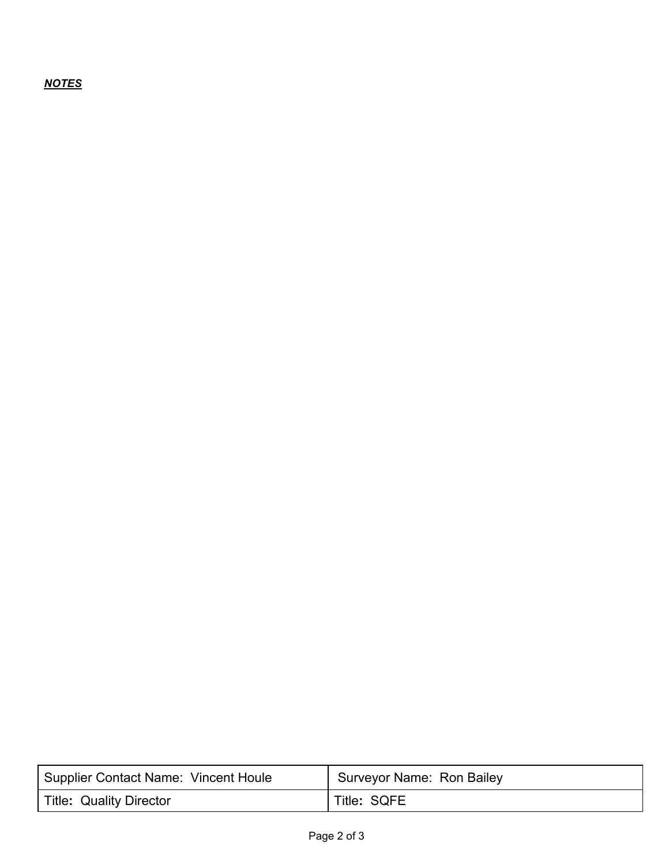## *NOTES*

| <b>Supplier Contact Name: Vincent Houle</b> | <b>Surveyor Name: Ron Bailey</b> |
|---------------------------------------------|----------------------------------|
| <b>Title: Quality Director</b>              | Title: SQFE                      |